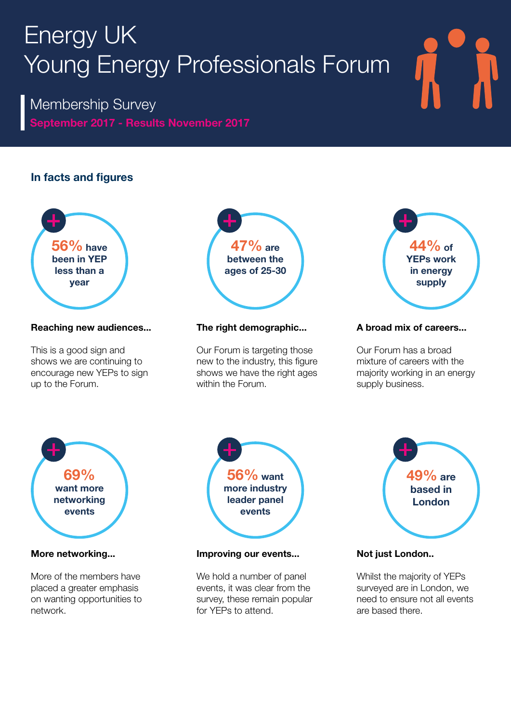## Energy UK Young Energy Professionals Forum

September 2017 - Results November 2017 Membership Survey

## In facts and figures



## Reaching new audiences...

This is a good sign and shows we are continuing to encourage new YEPs to sign up to the Forum.



## The right demographic...

Our Forum is targeting those new to the industry, this figure shows we have the right ages within the Forum.



## A broad mix of careers...

Our Forum has a broad mixture of careers with the majority working in an energy supply business.



## More networking...

More of the members have placed a greater emphasis on wanting opportunities to network.



## Improving our events...

We hold a number of panel events, it was clear from the survey, these remain popular for YEPs to attend.



## Not just London..

Whilst the majority of YEPs surveyed are in London, we need to ensure not all events are based there.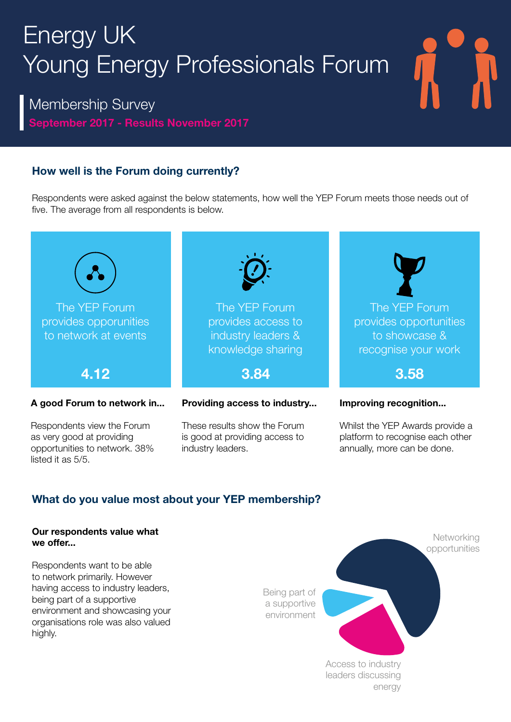# Energy UK Young Energy Professionals Forum

September 2017 - Results November 2017 Membership Survey

## How well is the Forum doing currently?

Respondents were asked against the below statements, how well the YEP Forum meets those needs out of five. The average from all respondents is below.



## What do you value most about your YEP membership?

## Our respondents value what we offer...

Respondents want to be able to network primarily. However having access to industry leaders, being part of a supportive environment and showcasing your organisations role was also valued highly.

Being part of a supportive environment

Networking opportunities Access to industry leaders discussing energy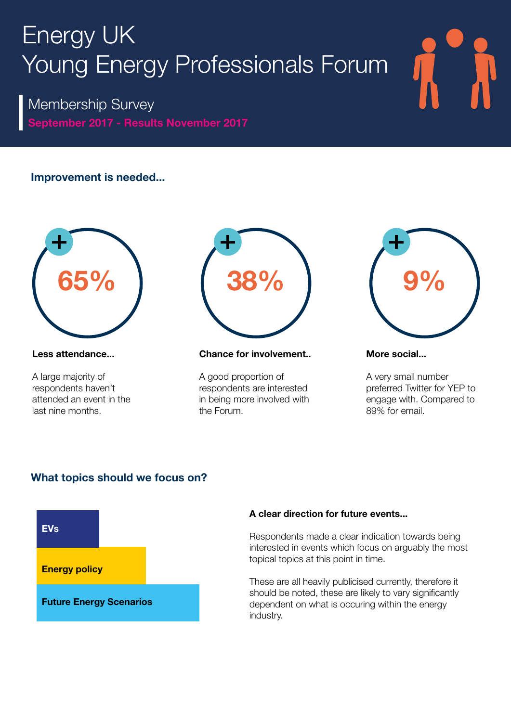## Energy UK Young Energy Professionals Forum

September 2017 - Results November 2017 Membership Survey

## Improvement is needed...



#### Less attendance...

A large majority of respondents haven't attended an event in the last nine months.



#### Chance for involvement..

A good proportion of respondents are interested in being more involved with the Forum.



#### More social...

A very small number preferred Twitter for YEP to engage with. Compared to 89% for email.

## What topics should we focus on?



### A clear direction for future events...

Respondents made a clear indication towards being interested in events which focus on arguably the most topical topics at this point in time.

These are all heavily publicised currently, therefore it should be noted, these are likely to vary significantly dependent on what is occuring within the energy industry.